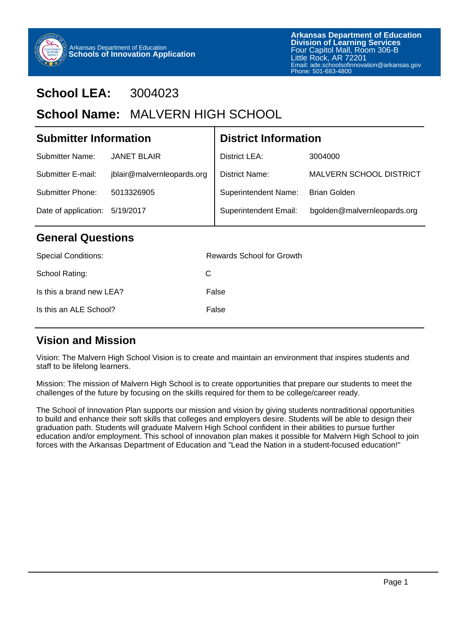

## **School LEA:** 3004023

## School Name: MALVERN HIGH SCHOOL

| <b>Submitter Information</b>      |                            | <b>District Information</b>  |                                |  |  |  |
|-----------------------------------|----------------------------|------------------------------|--------------------------------|--|--|--|
| Submitter Name:                   | <b>JANET BLAIR</b>         | District LEA:                | 3004000                        |  |  |  |
| Submitter E-mail:                 | jblair@malvernleopards.org | District Name:               | <b>MALVERN SCHOOL DISTRICT</b> |  |  |  |
| Submitter Phone:                  | 5013326905                 | <b>Superintendent Name:</b>  | <b>Brian Golden</b>            |  |  |  |
| Date of application:<br>5/19/2017 |                            | <b>Superintendent Email:</b> | bgolden@malvernleopards.org    |  |  |  |
| <b>General Questions</b>          |                            |                              |                                |  |  |  |
| <b>Special Conditions:</b>        |                            | Rewards School for Growth    |                                |  |  |  |

| School Rating:           | C.    |
|--------------------------|-------|
| Is this a brand new LEA? | False |
| Is this an ALE School?   | False |

### **Vision and Mission**

Vision: The Malvern High School Vision is to create and maintain an environment that inspires students and staff to be lifelong learners.

Mission: The mission of Malvern High School is to create opportunities that prepare our students to meet the challenges of the future by focusing on the skills required for them to be college/career ready.

The School of Innovation Plan supports our mission and vision by giving students nontraditional opportunities to build and enhance their soft skills that colleges and employers desire. Students will be able to design their graduation path. Students will graduate Malvern High School confident in their abilities to pursue further education and/or employment. This school of innovation plan makes it possible for Malvern High School to join forces with the Arkansas Department of Education and "Lead the Nation in a student-focused education!"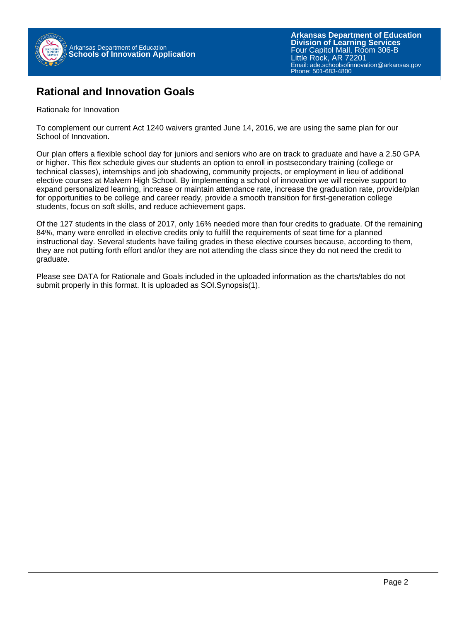

### **Rational and Innovation Goals**

Rationale for Innovation

To complement our current Act 1240 waivers granted June 14, 2016, we are using the same plan for our School of Innovation.

Our plan offers a flexible school day for juniors and seniors who are on track to graduate and have a 2.50 GPA or higher. This flex schedule gives our students an option to enroll in postsecondary training (college or technical classes), internships and job shadowing, community projects, or employment in lieu of additional elective courses at Malvern High School. By implementing a school of innovation we will receive support to expand personalized learning, increase or maintain attendance rate, increase the graduation rate, provide/plan for opportunities to be college and career ready, provide a smooth transition for first-generation college students, focus on soft skills, and reduce achievement gaps.

Of the 127 students in the class of 2017, only 16% needed more than four credits to graduate. Of the remaining 84%, many were enrolled in elective credits only to fulfill the requirements of seat time for a planned instructional day. Several students have failing grades in these elective courses because, according to them, they are not putting forth effort and/or they are not attending the class since they do not need the credit to graduate.

Please see DATA for Rationale and Goals included in the uploaded information as the charts/tables do not submit properly in this format. It is uploaded as SOI.Synopsis(1).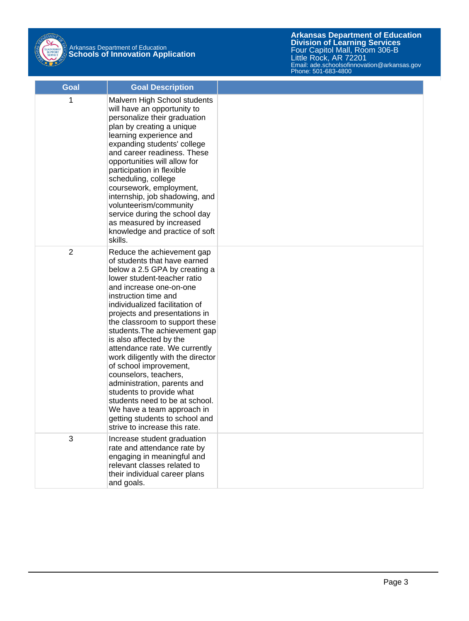

# Arkansas Department of Education **Schools of Innovation Application**

| Goal           | <b>Goal Description</b>                                                                                                                                                                                                                                                                                                                                                                                                                                                                                                                                                                                                                                               |  |
|----------------|-----------------------------------------------------------------------------------------------------------------------------------------------------------------------------------------------------------------------------------------------------------------------------------------------------------------------------------------------------------------------------------------------------------------------------------------------------------------------------------------------------------------------------------------------------------------------------------------------------------------------------------------------------------------------|--|
| 1              | Malvern High School students<br>will have an opportunity to<br>personalize their graduation<br>plan by creating a unique<br>learning experience and<br>expanding students' college<br>and career readiness. These<br>opportunities will allow for<br>participation in flexible<br>scheduling, college<br>coursework, employment,<br>internship, job shadowing, and<br>volunteerism/community<br>service during the school day<br>as measured by increased<br>knowledge and practice of soft<br>skills.                                                                                                                                                                |  |
| $\overline{2}$ | Reduce the achievement gap<br>of students that have earned<br>below a 2.5 GPA by creating a<br>lower student-teacher ratio<br>and increase one-on-one<br>instruction time and<br>individualized facilitation of<br>projects and presentations in<br>the classroom to support these<br>students. The achievement gap<br>is also affected by the<br>attendance rate. We currently<br>work diligently with the director<br>of school improvement,<br>counselors, teachers,<br>administration, parents and<br>students to provide what<br>students need to be at school.<br>We have a team approach in<br>getting students to school and<br>strive to increase this rate. |  |
| 3              | Increase student graduation<br>rate and attendance rate by<br>engaging in meaningful and<br>relevant classes related to<br>their individual career plans<br>and goals.                                                                                                                                                                                                                                                                                                                                                                                                                                                                                                |  |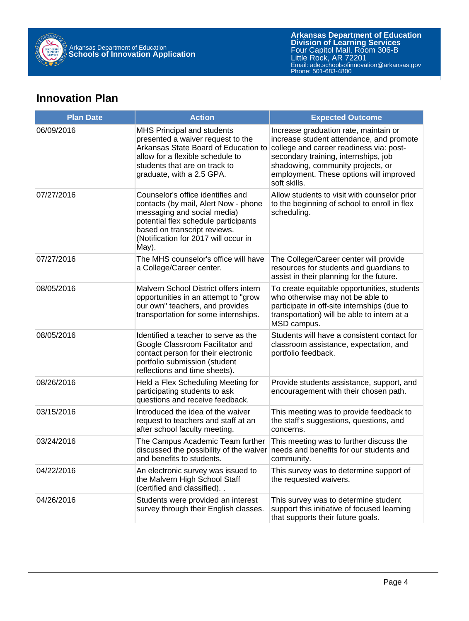

## **Innovation Plan**

| <b>Plan Date</b> | <b>Action</b>                                                                                                                                                                                                                     | <b>Expected Outcome</b>                                                                                                                                                                                                                                              |
|------------------|-----------------------------------------------------------------------------------------------------------------------------------------------------------------------------------------------------------------------------------|----------------------------------------------------------------------------------------------------------------------------------------------------------------------------------------------------------------------------------------------------------------------|
| 06/09/2016       | MHS Principal and students<br>presented a waiver request to the<br>Arkansas State Board of Education to<br>allow for a flexible schedule to<br>students that are on track to<br>graduate, with a 2.5 GPA.                         | Increase graduation rate, maintain or<br>increase student attendance, and promote<br>college and career readiness via: post-<br>secondary training, internships, job<br>shadowing, community projects, or<br>employment. These options will improved<br>soft skills. |
| 07/27/2016       | Counselor's office identifies and<br>contacts (by mail, Alert Now - phone<br>messaging and social media)<br>potential flex schedule participants<br>based on transcript reviews.<br>(Notification for 2017 will occur in<br>May). | Allow students to visit with counselor prior<br>to the beginning of school to enroll in flex<br>scheduling.                                                                                                                                                          |
| 07/27/2016       | The MHS counselor's office will have<br>a College/Career center.                                                                                                                                                                  | The College/Career center will provide<br>resources for students and guardians to<br>assist in their planning for the future.                                                                                                                                        |
| 08/05/2016       | Malvern School District offers intern<br>opportunities in an attempt to "grow<br>our own" teachers, and provides<br>transportation for some internships.                                                                          | To create equitable opportunities, students<br>who otherwise may not be able to<br>participate in off-site internships (due to<br>transportation) will be able to intern at a<br>MSD campus.                                                                         |
| 08/05/2016       | Identified a teacher to serve as the<br>Google Classroom Facilitator and<br>contact person for their electronic<br>portfolio submission (student<br>reflections and time sheets).                                                 | Students will have a consistent contact for<br>classroom assistance, expectation, and<br>portfolio feedback.                                                                                                                                                         |
| 08/26/2016       | Held a Flex Scheduling Meeting for<br>participating students to ask<br>questions and receive feedback.                                                                                                                            | Provide students assistance, support, and<br>encouragement with their chosen path.                                                                                                                                                                                   |
| 03/15/2016       | Introduced the idea of the waiver<br>request to teachers and staff at an<br>after school faculty meeting.                                                                                                                         | This meeting was to provide feedback to<br>the staff's suggestions, questions, and<br>concerns.                                                                                                                                                                      |
| 03/24/2016       | The Campus Academic Team further<br>discussed the possibility of the waiver<br>and benefits to students.                                                                                                                          | This meeting was to further discuss the<br>needs and benefits for our students and<br>community.                                                                                                                                                                     |
| 04/22/2016       | An electronic survey was issued to<br>the Malvern High School Staff<br>(certified and classified)                                                                                                                                 | This survey was to determine support of<br>the requested waivers.                                                                                                                                                                                                    |
| 04/26/2016       | Students were provided an interest<br>survey through their English classes.                                                                                                                                                       | This survey was to determine student<br>support this initiative of focused learning<br>that supports their future goals.                                                                                                                                             |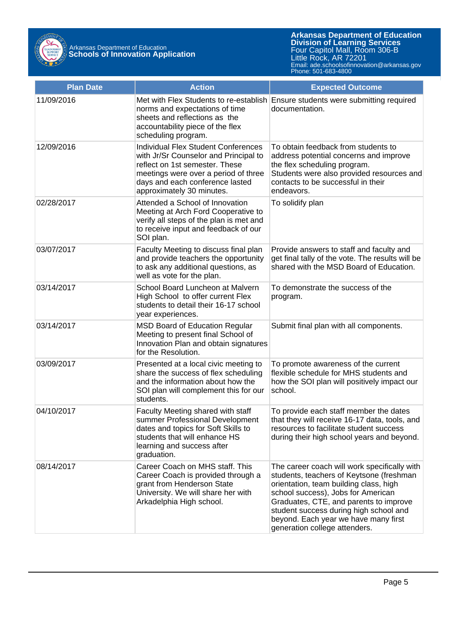

| <b>Plan Date</b> | <b>Action</b>                                                                                                                                                                                                                 | <b>Expected Outcome</b>                                                                                                                                                                                                                                                                                                               |
|------------------|-------------------------------------------------------------------------------------------------------------------------------------------------------------------------------------------------------------------------------|---------------------------------------------------------------------------------------------------------------------------------------------------------------------------------------------------------------------------------------------------------------------------------------------------------------------------------------|
| 11/09/2016       | Met with Flex Students to re-establish<br>norms and expectations of time<br>sheets and reflections as the<br>accountability piece of the flex<br>scheduling program.                                                          | Ensure students were submitting required<br>documentation.                                                                                                                                                                                                                                                                            |
| 12/09/2016       | <b>Individual Flex Student Conferences</b><br>with Jr/Sr Counselor and Principal to<br>reflect on 1st semester. These<br>meetings were over a period of three<br>days and each conference lasted<br>approximately 30 minutes. | To obtain feedback from students to<br>address potential concerns and improve<br>the flex scheduling program.<br>Students were also provided resources and<br>contacts to be successful in their<br>endeavors.                                                                                                                        |
| 02/28/2017       | Attended a School of Innovation<br>Meeting at Arch Ford Cooperative to<br>verify all steps of the plan is met and<br>to receive input and feedback of our<br>SOI plan.                                                        | To solidify plan                                                                                                                                                                                                                                                                                                                      |
| 03/07/2017       | Faculty Meeting to discuss final plan<br>and provide teachers the opportunity<br>to ask any additional questions, as<br>well as vote for the plan.                                                                            | Provide answers to staff and faculty and<br>get final tally of the vote. The results will be<br>shared with the MSD Board of Education.                                                                                                                                                                                               |
| 03/14/2017       | School Board Luncheon at Malvern<br>High School to offer current Flex<br>students to detail their 16-17 school<br>year experiences.                                                                                           | To demonstrate the success of the<br>program.                                                                                                                                                                                                                                                                                         |
| 03/14/2017       | <b>MSD Board of Education Regular</b><br>Meeting to present final School of<br>Innovation Plan and obtain signatures<br>for the Resolution.                                                                                   | Submit final plan with all components.                                                                                                                                                                                                                                                                                                |
| 03/09/2017       | Presented at a local civic meeting to<br>share the success of flex scheduling<br>and the information about how the<br>SOI plan will complement this for our<br>students.                                                      | To promote awareness of the current<br>flexible schedule for MHS students and<br>how the SOI plan will positively impact our<br>school.                                                                                                                                                                                               |
| 04/10/2017       | Faculty Meeting shared with staff<br>summer Professional Development<br>dates and topics for Soft Skills to<br>students that will enhance HS<br>learning and success after<br>graduation.                                     | To provide each staff member the dates<br>that they will receive 16-17 data, tools, and<br>resources to facilitate student success<br>during their high school years and beyond.                                                                                                                                                      |
| 08/14/2017       | Career Coach on MHS staff. This<br>Career Coach is provided through a<br>grant from Henderson State<br>University. We will share her with<br>Arkadelphia High school.                                                         | The career coach will work specifically with<br>students, teachers of Keytsone (freshman<br>orientation, team building class, high<br>school success), Jobs for American<br>Graduates, CTE, and parents to improve<br>student success during high school and<br>beyond. Each year we have many first<br>generation college attenders. |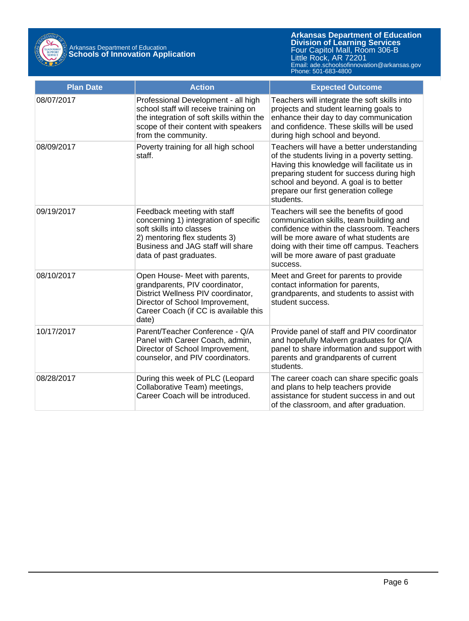

| <b>Plan Date</b> | <b>Action</b>                                                                                                                                                                                     | <b>Expected Outcome</b>                                                                                                                                                                                                                                                              |
|------------------|---------------------------------------------------------------------------------------------------------------------------------------------------------------------------------------------------|--------------------------------------------------------------------------------------------------------------------------------------------------------------------------------------------------------------------------------------------------------------------------------------|
| 08/07/2017       | Professional Development - all high<br>school staff will receive training on<br>the integration of soft skills within the<br>scope of their content with speakers<br>from the community.          | Teachers will integrate the soft skills into<br>projects and student learning goals to<br>enhance their day to day communication<br>and confidence. These skills will be used<br>during high school and beyond.                                                                      |
| 08/09/2017       | Poverty training for all high school<br>staff.                                                                                                                                                    | Teachers will have a better understanding<br>of the students living in a poverty setting.<br>Having this knowledge will facilitate us in<br>preparing student for success during high<br>school and beyond. A goal is to better<br>prepare our first generation college<br>students. |
| 09/19/2017       | Feedback meeting with staff<br>concerning 1) integration of specific<br>soft skills into classes<br>2) mentoring flex students 3)<br>Business and JAG staff will share<br>data of past graduates. | Teachers will see the benefits of good<br>communication skills, team building and<br>confidence within the classroom. Teachers<br>will be more aware of what students are<br>doing with their time off campus. Teachers<br>will be more aware of past graduate<br>success.           |
| 08/10/2017       | Open House- Meet with parents,<br>grandparents, PIV coordinator,<br>District Wellness PIV coordinator,<br>Director of School Improvement,<br>Career Coach (if CC is available this<br>date)       | Meet and Greet for parents to provide<br>contact information for parents,<br>grandparents, and students to assist with<br>student success.                                                                                                                                           |
| 10/17/2017       | Parent/Teacher Conference - Q/A<br>Panel with Career Coach, admin,<br>Director of School Improvement,<br>counselor, and PIV coordinators.                                                         | Provide panel of staff and PIV coordinator<br>and hopefully Malvern graduates for Q/A<br>panel to share information and support with<br>parents and grandparents of current<br>students.                                                                                             |
| 08/28/2017       | During this week of PLC (Leopard<br>Collaborative Team) meetings,<br>Career Coach will be introduced.                                                                                             | The career coach can share specific goals<br>and plans to help teachers provide<br>assistance for student success in and out<br>of the classroom, and after graduation.                                                                                                              |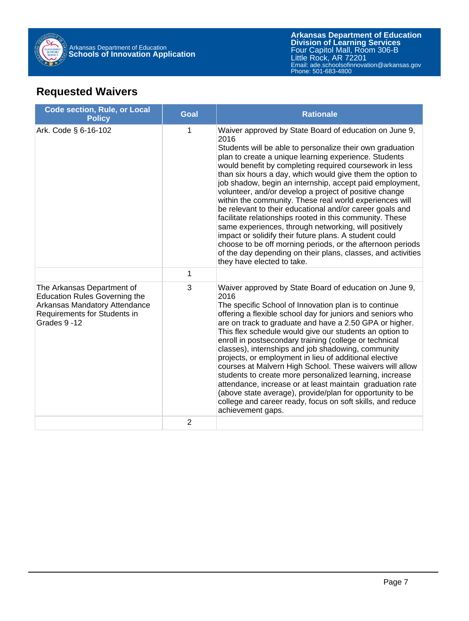

## **Requested Waivers**

| <b>Code section, Rule, or Local</b><br><b>Policy</b>                                                                                               | <b>Goal</b>    | <b>Rationale</b>                                                                                                                                                                                                                                                                                                                                                                                                                                                                                                                                                                                                                                                                                                                                                                                                                                                                                     |
|----------------------------------------------------------------------------------------------------------------------------------------------------|----------------|------------------------------------------------------------------------------------------------------------------------------------------------------------------------------------------------------------------------------------------------------------------------------------------------------------------------------------------------------------------------------------------------------------------------------------------------------------------------------------------------------------------------------------------------------------------------------------------------------------------------------------------------------------------------------------------------------------------------------------------------------------------------------------------------------------------------------------------------------------------------------------------------------|
| Ark. Code § 6-16-102                                                                                                                               | 1              | Waiver approved by State Board of education on June 9,<br>2016<br>Students will be able to personalize their own graduation<br>plan to create a unique learning experience. Students<br>would benefit by completing required coursework in less<br>than six hours a day, which would give them the option to<br>job shadow, begin an internship, accept paid employment,<br>volunteer, and/or develop a project of positive change<br>within the community. These real world experiences will<br>be relevant to their educational and/or career goals and<br>facilitate relationships rooted in this community. These<br>same experiences, through networking, will positively<br>impact or solidify their future plans. A student could<br>choose to be off morning periods, or the afternoon periods<br>of the day depending on their plans, classes, and activities<br>they have elected to take. |
|                                                                                                                                                    | 1              |                                                                                                                                                                                                                                                                                                                                                                                                                                                                                                                                                                                                                                                                                                                                                                                                                                                                                                      |
| The Arkansas Department of<br><b>Education Rules Governing the</b><br>Arkansas Mandatory Attendance<br>Requirements for Students in<br>Grades 9-12 | 3              | Waiver approved by State Board of education on June 9,<br>2016<br>The specific School of Innovation plan is to continue<br>offering a flexible school day for juniors and seniors who<br>are on track to graduate and have a 2.50 GPA or higher.<br>This flex schedule would give our students an option to<br>enroll in postsecondary training (college or technical<br>classes), internships and job shadowing, community<br>projects, or employment in lieu of additional elective<br>courses at Malvern High School. These waivers will allow<br>students to create more personalized learning, increase<br>attendance, increase or at least maintain graduation rate<br>(above state average), provide/plan for opportunity to be<br>college and career ready, focus on soft skills, and reduce<br>achievement gaps.                                                                            |
|                                                                                                                                                    | $\overline{2}$ |                                                                                                                                                                                                                                                                                                                                                                                                                                                                                                                                                                                                                                                                                                                                                                                                                                                                                                      |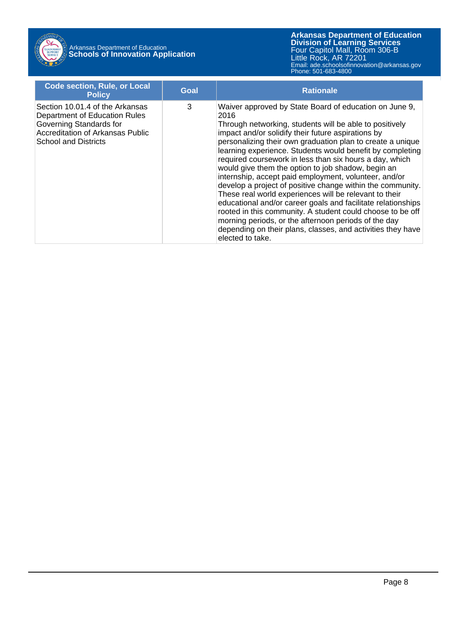

## Arkansas Department of Education **Schools of Innovation Application**

| <b>Code section, Rule, or Local</b><br><b>Policy</b>                                                                                                                  | Goal | <b>Rationale</b>                                                                                                                                                                                                                                                                                                                                                                                                                                                                                                                                                                                                                                                                                                                                                                                                                                                                      |
|-----------------------------------------------------------------------------------------------------------------------------------------------------------------------|------|---------------------------------------------------------------------------------------------------------------------------------------------------------------------------------------------------------------------------------------------------------------------------------------------------------------------------------------------------------------------------------------------------------------------------------------------------------------------------------------------------------------------------------------------------------------------------------------------------------------------------------------------------------------------------------------------------------------------------------------------------------------------------------------------------------------------------------------------------------------------------------------|
| Section 10.01.4 of the Arkansas<br>Department of Education Rules<br>Governing Standards for<br><b>Accreditation of Arkansas Public</b><br><b>School and Districts</b> | 3    | Waiver approved by State Board of education on June 9,<br>2016<br>Through networking, students will be able to positively<br>impact and/or solidify their future aspirations by<br>personalizing their own graduation plan to create a unique<br>learning experience. Students would benefit by completing<br>required coursework in less than six hours a day, which<br>would give them the option to job shadow, begin an<br>internship, accept paid employment, volunteer, and/or<br>develop a project of positive change within the community.<br>These real world experiences will be relevant to their<br>educational and/or career goals and facilitate relationships<br>rooted in this community. A student could choose to be off<br>morning periods, or the afternoon periods of the day<br>depending on their plans, classes, and activities they have<br>elected to take. |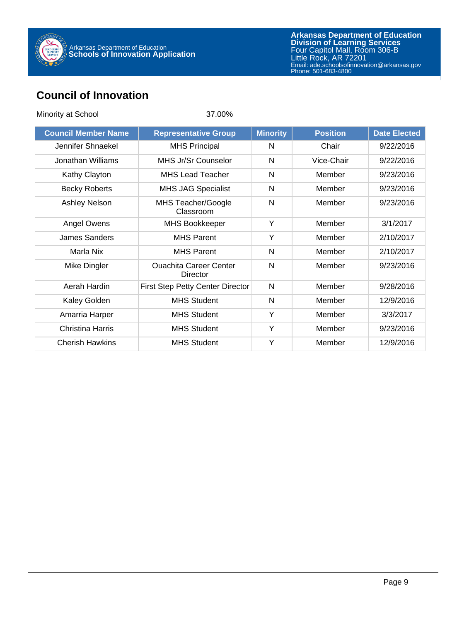

## **Council of Innovation**

| Minority at School         | 37.00%                                    |                 |                 |                     |
|----------------------------|-------------------------------------------|-----------------|-----------------|---------------------|
| <b>Council Member Name</b> | <b>Representative Group</b>               | <b>Minority</b> | <b>Position</b> | <b>Date Elected</b> |
| Jennifer Shnaekel          | <b>MHS Principal</b>                      | N               | Chair           | 9/22/2016           |
| Jonathan Williams          | MHS Jr/Sr Counselor                       | N               | Vice-Chair      | 9/22/2016           |
| Kathy Clayton              | <b>MHS Lead Teacher</b>                   | N               | Member          | 9/23/2016           |
| <b>Becky Roberts</b>       | <b>MHS JAG Specialist</b>                 | N               | Member          | 9/23/2016           |
| Ashley Nelson              | MHS Teacher/Google<br>Classroom           | N               | Member          | 9/23/2016           |
| Angel Owens                | <b>MHS Bookkeeper</b>                     | Y               | Member          | 3/1/2017            |
| James Sanders              | <b>MHS Parent</b>                         | Y               | Member          | 2/10/2017           |
| Marla Nix                  | <b>MHS Parent</b>                         | N               | Member          | 2/10/2017           |
| Mike Dingler               | <b>Ouachita Career Center</b><br>Director | $\mathsf{N}$    | Member          | 9/23/2016           |
| Aerah Hardin               | First Step Petty Center Director          | N               | Member          | 9/28/2016           |
| Kaley Golden               | <b>MHS Student</b>                        | N               | Member          | 12/9/2016           |
| Amarria Harper             | <b>MHS Student</b>                        | Y               | Member          | 3/3/2017            |
| <b>Christina Harris</b>    | <b>MHS Student</b>                        | Y               | Member          | 9/23/2016           |
| <b>Cherish Hawkins</b>     | <b>MHS Student</b>                        | Y               | Member          | 12/9/2016           |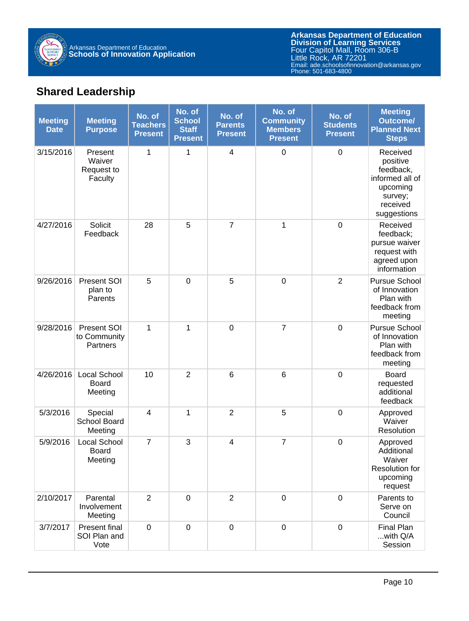

## **Shared Leadership**

| <b>Meeting</b><br><b>Date</b> | <b>Meeting</b><br><b>Purpose</b>           | No. of<br><b>Teachers</b><br><b>Present</b> | No. of<br><b>School</b><br><b>Staff</b><br><b>Present</b> | No. of<br><b>Parents</b><br><b>Present</b> | No. of<br><b>Community</b><br><b>Members</b><br><b>Present</b> | No. of<br><b>Students</b><br><b>Present</b> | <b>Meeting</b><br><b>Outcome/</b><br><b>Planned Next</b><br><b>Steps</b>                               |
|-------------------------------|--------------------------------------------|---------------------------------------------|-----------------------------------------------------------|--------------------------------------------|----------------------------------------------------------------|---------------------------------------------|--------------------------------------------------------------------------------------------------------|
| 3/15/2016                     | Present<br>Waiver<br>Request to<br>Faculty | 1                                           | 1                                                         | 4                                          | $\boldsymbol{0}$                                               | $\boldsymbol{0}$                            | Received<br>positive<br>feedback,<br>informed all of<br>upcoming<br>survey;<br>received<br>suggestions |
| 4/27/2016                     | Solicit<br>Feedback                        | 28                                          | 5                                                         | $\overline{7}$                             | $\mathbf 1$                                                    | $\mathbf 0$                                 | Received<br>feedback;<br>pursue waiver<br>request with<br>agreed upon<br>information                   |
| 9/26/2016                     | Present SOI<br>plan to<br>Parents          | 5                                           | $\mathbf 0$                                               | 5                                          | $\pmb{0}$                                                      | $\overline{2}$                              | <b>Pursue School</b><br>of Innovation<br>Plan with<br>feedback from<br>meeting                         |
| 9/28/2016                     | Present SOI<br>to Community<br>Partners    | 1                                           | 1                                                         | $\pmb{0}$                                  | $\overline{7}$                                                 | $\mathbf 0$                                 | Pursue School<br>of Innovation<br>Plan with<br>feedback from<br>meeting                                |
| 4/26/2016                     | Local School<br><b>Board</b><br>Meeting    | 10                                          | $\overline{2}$                                            | 6                                          | 6                                                              | $\mathbf 0$                                 | <b>Board</b><br>requested<br>additional<br>feedback                                                    |
| 5/3/2016                      | Special<br>School Board<br>Meeting         | 4                                           | 1                                                         | $\overline{2}$                             | 5                                                              | $\boldsymbol{0}$                            | Approved<br>Waiver<br>Resolution                                                                       |
| 5/9/2016                      | Local School<br><b>Board</b><br>Meeting    | $\overline{7}$                              | 3                                                         | 4                                          | $\overline{7}$                                                 | $\mathbf 0$                                 | Approved<br>Additional<br>Waiver<br>Resolution for<br>upcoming<br>request                              |
| 2/10/2017                     | Parental<br>Involvement<br>Meeting         | $\overline{2}$                              | $\mathbf 0$                                               | $\overline{2}$                             | $\mathbf 0$                                                    | $\mathbf 0$                                 | Parents to<br>Serve on<br>Council                                                                      |
| 3/7/2017                      | Present final<br>SOI Plan and<br>Vote      | $\mathbf 0$                                 | $\mathbf 0$                                               | $\overline{0}$                             | $\boldsymbol{0}$                                               | $\mathbf 0$                                 | <b>Final Plan</b><br>with Q/A<br>Session                                                               |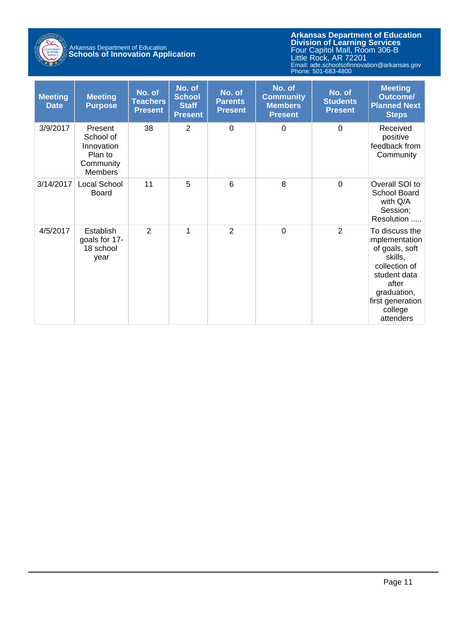

## Arkansas Department of Education **Schools of Innovation Application**

| <b>Meeting</b><br><b>Date</b> | <b>Meeting</b><br><b>Purpose</b>                                             | No. of<br><b>Teachers</b><br><b>Present</b> | No. of<br><b>School</b><br><b>Staff</b><br><b>Present</b> | No. of<br><b>Parents</b><br><b>Present</b> | No. of<br><b>Community</b><br><b>Members</b><br><b>Present</b> | No. of<br><b>Students</b><br><b>Present</b> | <b>Meeting</b><br><b>Outcome/</b><br><b>Planned Next</b><br><b>Steps</b>                                                                                          |
|-------------------------------|------------------------------------------------------------------------------|---------------------------------------------|-----------------------------------------------------------|--------------------------------------------|----------------------------------------------------------------|---------------------------------------------|-------------------------------------------------------------------------------------------------------------------------------------------------------------------|
| 3/9/2017                      | Present<br>School of<br>Innovation<br>Plan to<br>Community<br><b>Members</b> | 38                                          | 2                                                         | $\overline{0}$                             | $\Omega$                                                       | $\mathbf 0$                                 | Received<br>positive<br>feedback from<br>Community                                                                                                                |
| 3/14/2017                     | Local School<br>Board                                                        | 11                                          | 5                                                         | 6                                          | 8                                                              | 0                                           | Overall SOI to<br>School Board<br>with Q/A<br>Session;<br>Resolution                                                                                              |
| 4/5/2017                      | Establish<br>goals for 17-<br>18 school<br>year                              | $\overline{2}$                              | 1                                                         | $\overline{2}$                             | $\mathbf 0$                                                    | $\overline{2}$                              | To discuss the<br>mplementation<br>of goals, soft<br>skills,<br>collection of<br>student data<br>after<br>graduation,<br>first generation<br>college<br>attenders |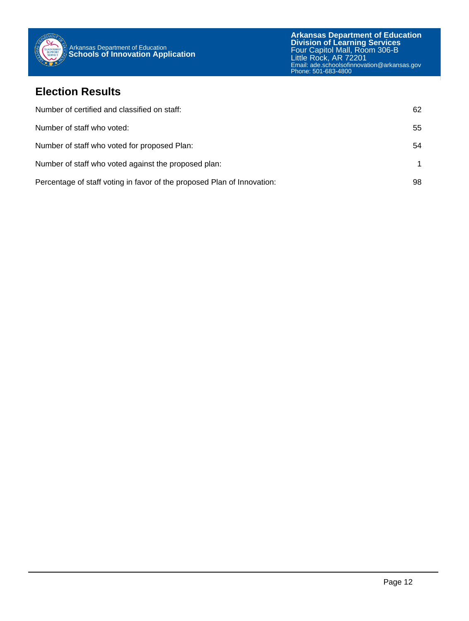

### **Election Results**

| Number of certified and classified on staff:                            | 62 |
|-------------------------------------------------------------------------|----|
| Number of staff who voted:                                              | 55 |
| Number of staff who voted for proposed Plan:                            | 54 |
| Number of staff who voted against the proposed plan:                    |    |
| Percentage of staff voting in favor of the proposed Plan of Innovation: | 98 |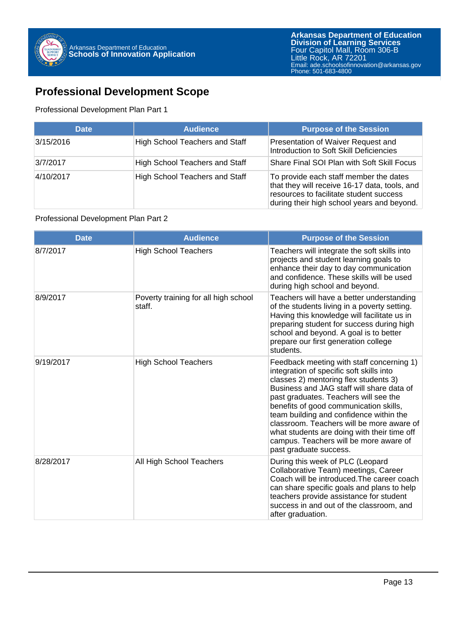## **Professional Development Scope**

#### Professional Development Plan Part 1

| <b>Date</b> | <b>Audience</b>                       | <b>Purpose of the Session</b>                                                                                                                                                    |
|-------------|---------------------------------------|----------------------------------------------------------------------------------------------------------------------------------------------------------------------------------|
| 3/15/2016   | <b>High School Teachers and Staff</b> | Presentation of Waiver Request and<br>Introduction to Soft Skill Deficiencies                                                                                                    |
| 3/7/2017    | <b>High School Teachers and Staff</b> | Share Final SOI Plan with Soft Skill Focus                                                                                                                                       |
| 4/10/2017   | <b>High School Teachers and Staff</b> | To provide each staff member the dates<br>that they will receive 16-17 data, tools, and<br>resources to facilitate student success<br>during their high school years and beyond. |

#### Professional Development Plan Part 2

| <b>Date</b> | <b>Audience</b>                                | <b>Purpose of the Session</b>                                                                                                                                                                                                                                                                                                                                                                                                                                             |
|-------------|------------------------------------------------|---------------------------------------------------------------------------------------------------------------------------------------------------------------------------------------------------------------------------------------------------------------------------------------------------------------------------------------------------------------------------------------------------------------------------------------------------------------------------|
| 8/7/2017    | <b>High School Teachers</b>                    | Teachers will integrate the soft skills into<br>projects and student learning goals to<br>enhance their day to day communication<br>and confidence. These skills will be used<br>during high school and beyond.                                                                                                                                                                                                                                                           |
| 8/9/2017    | Poverty training for all high school<br>staff. | Teachers will have a better understanding<br>of the students living in a poverty setting.<br>Having this knowledge will facilitate us in<br>preparing student for success during high<br>school and beyond. A goal is to better<br>prepare our first generation college<br>students.                                                                                                                                                                                      |
| 9/19/2017   | <b>High School Teachers</b>                    | Feedback meeting with staff concerning 1)<br>integration of specific soft skills into<br>classes 2) mentoring flex students 3)<br>Business and JAG staff will share data of<br>past graduates. Teachers will see the<br>benefits of good communication skills,<br>team building and confidence within the<br>classroom. Teachers will be more aware of<br>what students are doing with their time off<br>campus. Teachers will be more aware of<br>past graduate success. |
| 8/28/2017   | All High School Teachers                       | During this week of PLC (Leopard<br>Collaborative Team) meetings, Career<br>Coach will be introduced. The career coach<br>can share specific goals and plans to help<br>teachers provide assistance for student<br>success in and out of the classroom, and<br>after graduation.                                                                                                                                                                                          |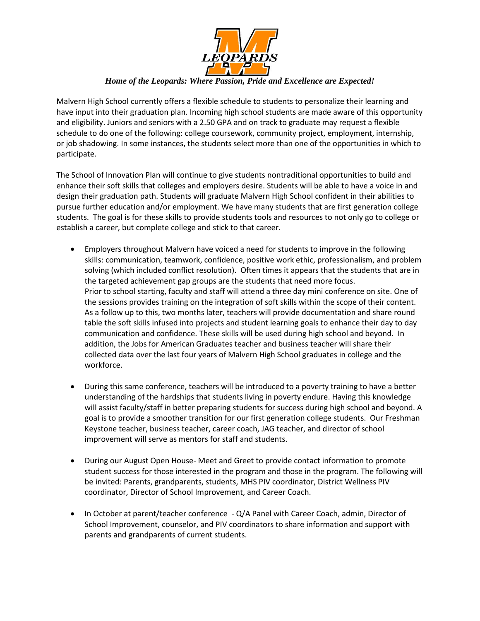

### *Home of the Leopards: Where Passion, Pride and Excellence are Expected!*

Malvern High School currently offers a flexible schedule to students to personalize their learning and have input into their graduation plan. Incoming high school students are made aware of this opportunity and eligibility. Juniors and seniors with a 2.50 GPA and on track to graduate may request a flexible schedule to do one of the following: college coursework, community project, employment, internship, or job shadowing. In some instances, the students select more than one of the opportunities in which to participate.

The School of Innovation Plan will continue to give students nontraditional opportunities to build and enhance their soft skills that colleges and employers desire. Students will be able to have a voice in and design their graduation path. Students will graduate Malvern High School confident in their abilities to pursue further education and/or employment. We have many students that are first generation college students. The goal is for these skills to provide students tools and resources to not only go to college or establish a career, but complete college and stick to that career.

- Employers throughout Malvern have voiced a need for students to improve in the following skills: communication, teamwork, confidence, positive work ethic, professionalism, and problem solving (which included conflict resolution). Often times it appears that the students that are in the targeted achievement gap groups are the students that need more focus. Prior to school starting, faculty and staff will attend a three day mini conference on site. One of the sessions provides training on the integration of soft skills within the scope of their content. As a follow up to this, two months later, teachers will provide documentation and share round table the soft skills infused into projects and student learning goals to enhance their day to day communication and confidence. These skills will be used during high school and beyond. In addition, the Jobs for American Graduates teacher and business teacher will share their collected data over the last four years of Malvern High School graduates in college and the workforce.
- During this same conference, teachers will be introduced to a poverty training to have a better understanding of the hardships that students living in poverty endure. Having this knowledge will assist faculty/staff in better preparing students for success during high school and beyond. A goal is to provide a smoother transition for our first generation college students. Our Freshman Keystone teacher, business teacher, career coach, JAG teacher, and director of school improvement will serve as mentors for staff and students.
- During our August Open House- Meet and Greet to provide contact information to promote student success for those interested in the program and those in the program. The following will be invited: Parents, grandparents, students, MHS PIV coordinator, District Wellness PIV coordinator, Director of School Improvement, and Career Coach.
- In October at parent/teacher conference Q/A Panel with Career Coach, admin, Director of School Improvement, counselor, and PIV coordinators to share information and support with parents and grandparents of current students.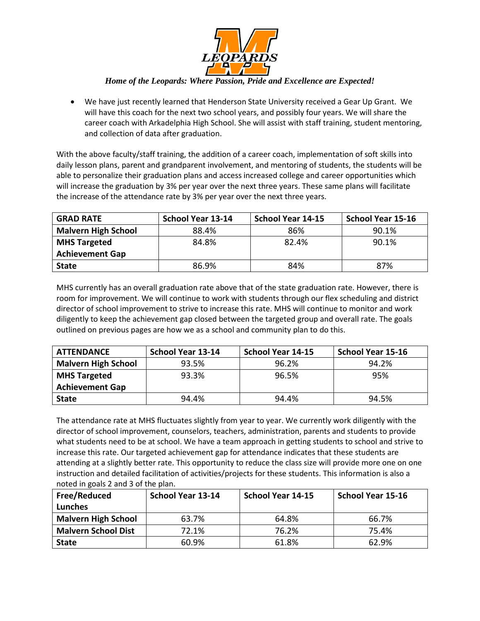

### *Home of the Leopards: Where Passion, Pride and Excellence are Expected!*

• We have just recently learned that Henderson State University received a Gear Up Grant. We will have this coach for the next two school years, and possibly four years. We will share the career coach with Arkadelphia High School. She will assist with staff training, student mentoring, and collection of data after graduation.

With the above faculty/staff training, the addition of a career coach, implementation of soft skills into daily lesson plans, parent and grandparent involvement, and mentoring of students, the students will be able to personalize their graduation plans and access increased college and career opportunities which will increase the graduation by 3% per year over the next three years. These same plans will facilitate the increase of the attendance rate by 3% per year over the next three years.

| <b>GRAD RATE</b>           | School Year 13-14 | <b>School Year 14-15</b> | <b>School Year 15-16</b> |
|----------------------------|-------------------|--------------------------|--------------------------|
| <b>Malvern High School</b> | 88.4%             | 86%                      | 90.1%                    |
| <b>MHS Targeted</b>        | 84.8%             | 82.4%                    | 90.1%                    |
| <b>Achievement Gap</b>     |                   |                          |                          |
| <b>State</b>               | 86.9%             | 84%                      | 87%                      |

MHS currently has an overall graduation rate above that of the state graduation rate. However, there is room for improvement. We will continue to work with students through our flex scheduling and district director of school improvement to strive to increase this rate. MHS will continue to monitor and work diligently to keep the achievement gap closed between the targeted group and overall rate. The goals outlined on previous pages are how we as a school and community plan to do this.

| <b>ATTENDANCE</b>          | <b>School Year 13-14</b> | School Year 14-15 | School Year 15-16 |
|----------------------------|--------------------------|-------------------|-------------------|
| <b>Malvern High School</b> | 93.5%                    | 96.2%             | 94.2%             |
| <b>MHS Targeted</b>        | 93.3%                    | 96.5%             | 95%               |
| <b>Achievement Gap</b>     |                          |                   |                   |
| <b>State</b>               | 94.4%                    | 94.4%             | 94.5%             |

The attendance rate at MHS fluctuates slightly from year to year. We currently work diligently with the director of school improvement, counselors, teachers, administration, parents and students to provide what students need to be at school. We have a team approach in getting students to school and strive to increase this rate. Our targeted achievement gap for attendance indicates that these students are attending at a slightly better rate. This opportunity to reduce the class size will provide more one on one instruction and detailed facilitation of activities/projects for these students. This information is also a noted in goals 2 and 3 of the plan.

| Free/Reduced               | <b>School Year 13-14</b> | <b>School Year 14-15</b> | <b>School Year 15-16</b> |
|----------------------------|--------------------------|--------------------------|--------------------------|
| Lunches                    |                          |                          |                          |
| <b>Malvern High School</b> | 63.7%                    | 64.8%                    | 66.7%                    |
| <b>Malvern School Dist</b> | 72.1%                    | 76.2%                    | 75.4%                    |
| <b>State</b>               | 60.9%                    | 61.8%                    | 62.9%                    |